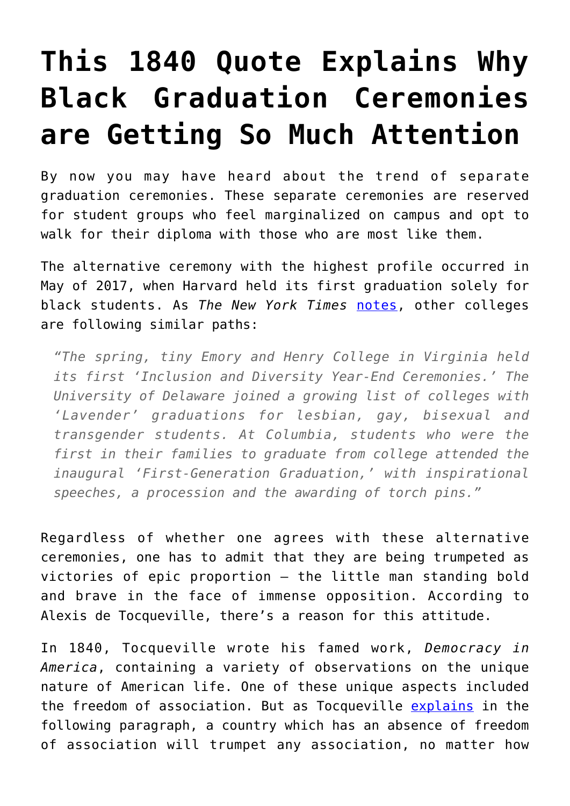## **[This 1840 Quote Explains Why](https://intellectualtakeout.org/2017/06/this-1840-quote-explains-why-black-graduation-ceremonies-are-getting-so-much-attention/) [Black Graduation Ceremonies](https://intellectualtakeout.org/2017/06/this-1840-quote-explains-why-black-graduation-ceremonies-are-getting-so-much-attention/) [are Getting So Much Attention](https://intellectualtakeout.org/2017/06/this-1840-quote-explains-why-black-graduation-ceremonies-are-getting-so-much-attention/)**

By now you may have heard about the trend of separate graduation ceremonies. These separate ceremonies are reserved for student groups who feel marginalized on campus and opt to walk for their diploma with those who are most like them.

The alternative ceremony with the highest profile occurred in May of 2017, when Harvard held its first graduation solely for black students. As *The New York Times* [notes](https://www.nytimes.com/2017/06/02/us/black-commencement-harvard.html), other colleges are following similar paths:

*"The spring, tiny Emory and Henry College in Virginia held its first 'Inclusion and Diversity Year-End Ceremonies.' The University of Delaware joined a growing list of colleges with 'Lavender' graduations for lesbian, gay, bisexual and transgender students. At Columbia, students who were the first in their families to graduate from college attended the inaugural 'First-Generation Graduation,' with inspirational speeches, a procession and the awarding of torch pins."*

Regardless of whether one agrees with these alternative ceremonies, one has to admit that they are being trumpeted as victories of epic proportion – the little man standing bold and brave in the face of immense opposition. According to Alexis de Tocqueville, there's a reason for this attitude.

In 1840, Tocqueville wrote his famed work, *Democracy in America*, containing a variety of observations on the unique nature of American life. One of these unique aspects included the freedom of association. But as Tocqueville [explains](http://xroads.virginia.edu/~hyper/DETOC/ch2_07.htm#return1) in the following paragraph, a country which has an absence of freedom of association will trumpet any association, no matter how